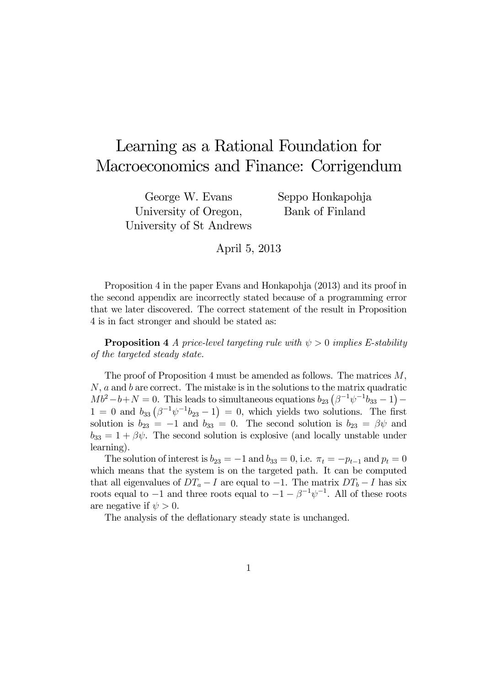## Learning as a Rational Foundation for Macroeconomics and Finance: Corrigendum

George W. Evans University of Oregon, University of St Andrews Seppo Honkapohja Bank of Finland

April 5, 2013

Proposition 4 in the paper Evans and Honkapohja (2013) and its proof in the second appendix are incorrectly stated because of a programming error that we later discovered. The correct statement of the result in Proposition 4 is in fact stronger and should be stated as:

**Proposition 4** A price-level targeting rule with  $\psi > 0$  implies E-stability of the targeted steady state.

The proof of Proposition 4 must be amended as follows. The matrices  $M$ ,  $N$ ,  $a$  and  $b$  are correct. The mistake is in the solutions to the matrix quadratic  $Mb^2-b+N=0.$  This leads to simultaneous equations  $b_{23}(\beta^{-1}\psi^{-1}b_{33}-1) 1=0$  and  $b_{33} (\beta^{-1} \psi^{-1} b_{23}-1) = 0$ , which yields two solutions. The first solution is  $b_{23} = -1$  and  $b_{33} = 0$ . The second solution is  $b_{23} = \beta \psi$  and  $b_{33} = 1 + \beta \psi$ . The second solution is explosive (and locally unstable under learning).

The solution of interest is  $b_{23} = -1$  and  $b_{33} = 0$ , i.e.  $\pi_t = -p_{t-1}$  and  $p_t = 0$ which means that the system is on the targeted path. It can be computed that all eigenvalues of  $DT_a - I$  are equal to  $-1$ . The matrix  $DT_b - I$  has six roots equal to  $-1$  and three roots equal to  $-1 - \beta^{-1} \psi^{-1}$ . All of these roots are negative if  $\psi > 0$ .

The analysis of the deflationary steady state is unchanged.